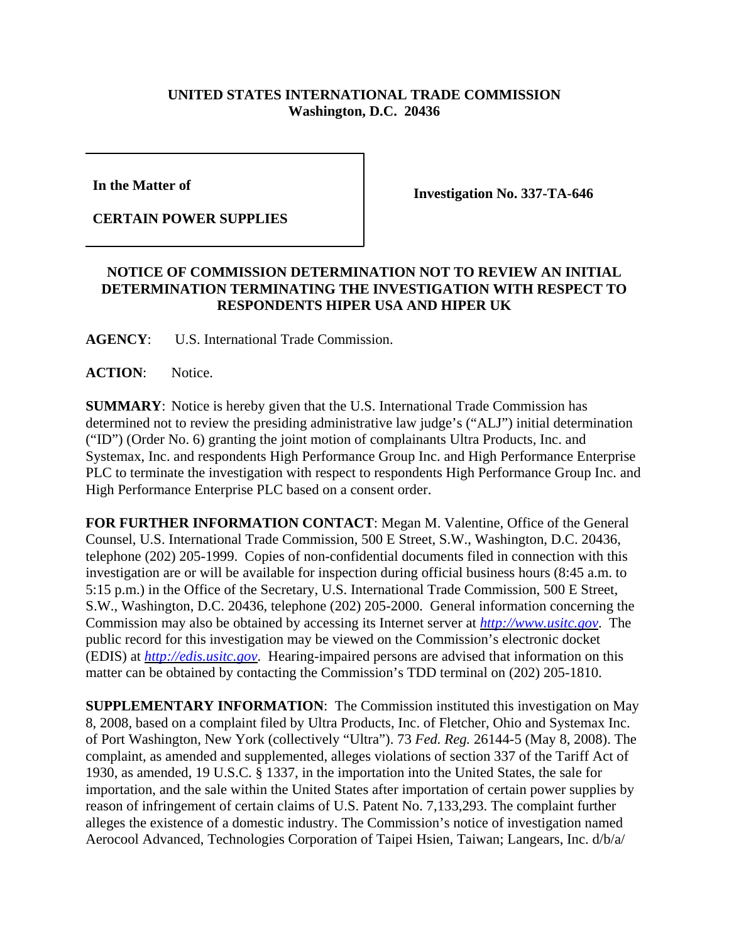## **UNITED STATES INTERNATIONAL TRADE COMMISSION Washington, D.C. 20436**

**In the Matter of** 

**CERTAIN POWER SUPPLIES**

**Investigation No. 337-TA-646**

## **NOTICE OF COMMISSION DETERMINATION NOT TO REVIEW AN INITIAL DETERMINATION TERMINATING THE INVESTIGATION WITH RESPECT TO RESPONDENTS HIPER USA AND HIPER UK**

**AGENCY**: U.S. International Trade Commission.

ACTION: Notice.

**SUMMARY**: Notice is hereby given that the U.S. International Trade Commission has determined not to review the presiding administrative law judge's ("ALJ") initial determination ("ID") (Order No. 6) granting the joint motion of complainants Ultra Products, Inc. and Systemax, Inc. and respondents High Performance Group Inc. and High Performance Enterprise PLC to terminate the investigation with respect to respondents High Performance Group Inc. and High Performance Enterprise PLC based on a consent order.

**FOR FURTHER INFORMATION CONTACT**: Megan M. Valentine, Office of the General Counsel, U.S. International Trade Commission, 500 E Street, S.W., Washington, D.C. 20436, telephone (202) 205-1999. Copies of non-confidential documents filed in connection with this investigation are or will be available for inspection during official business hours (8:45 a.m. to 5:15 p.m.) in the Office of the Secretary, U.S. International Trade Commission, 500 E Street, S.W., Washington, D.C. 20436, telephone (202) 205-2000. General information concerning the Commission may also be obtained by accessing its Internet server at *http://www.usitc.gov*. The public record for this investigation may be viewed on the Commission's electronic docket (EDIS) at *http://edis.usitc.gov*. Hearing-impaired persons are advised that information on this matter can be obtained by contacting the Commission's TDD terminal on (202) 205-1810.

**SUPPLEMENTARY INFORMATION**: The Commission instituted this investigation on May 8, 2008, based on a complaint filed by Ultra Products, Inc. of Fletcher, Ohio and Systemax Inc. of Port Washington, New York (collectively "Ultra"). 73 *Fed. Reg.* 26144-5 (May 8, 2008). The complaint, as amended and supplemented, alleges violations of section 337 of the Tariff Act of 1930, as amended, 19 U.S.C. § 1337, in the importation into the United States, the sale for importation, and the sale within the United States after importation of certain power supplies by reason of infringement of certain claims of U.S. Patent No. 7,133,293. The complaint further alleges the existence of a domestic industry. The Commission's notice of investigation named Aerocool Advanced, Technologies Corporation of Taipei Hsien, Taiwan; Langears, Inc. d/b/a/